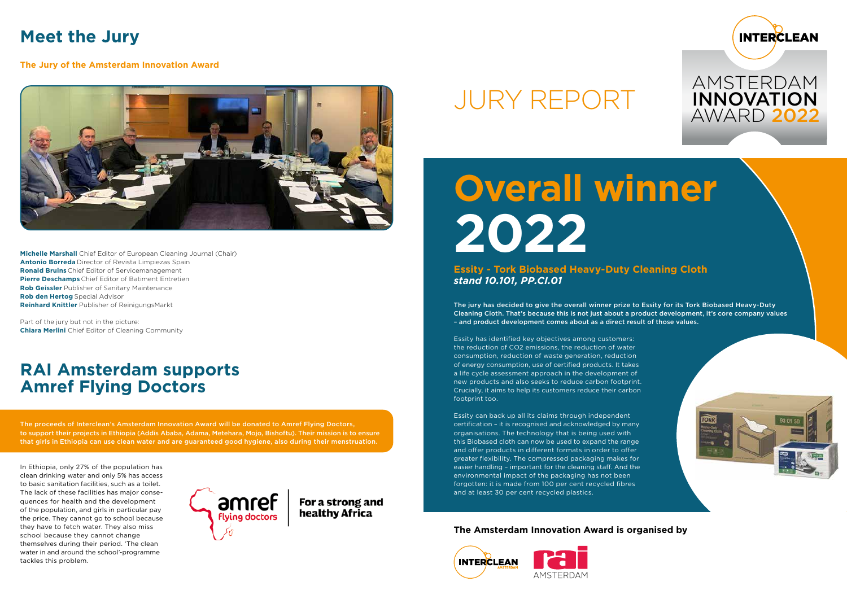# **Overall winner 2022**

**Essity - Tork Biobased Heavy-Duty Cleaning Cloth** *stand 10.101, PP.CI.01*

The jury has decided to give the overall winner prize to Essity for its Tork Biobased Heavy-Duty Cleaning Cloth. That's because this is not just about a product development, it's core company values – and product development comes about as a direct result of those values.

Essity has identified key objectives among customers: the reduction of CO2 emissions, the reduction of water consumption, reduction of waste generation, reduction of energy consumption, use of certified products. It takes a life cycle assessment approach in the development of new products and also seeks to reduce carbon footprint. Crucially, it aims to help its customers reduce their carbon footprint too.

Essity can back up all its claims through independent certification – it is recognised and acknowledged by many organisations. The technology that is being used with this Biobased cloth can now be used to expand the range and offer products in different formats in order to offer greater flexibility. The compressed packaging makes for easier handling – important for the cleaning staff. And the environmental impact of the packaging has not been forgotten: it is made from 100 per cent recycled fibres and at least 30 per cent recycled plastics.

# JURY REPORT

## **The Amsterdam Innovation Award is organised by**





## **Meet the Jury**

**The Jury of the Amsterdam Innovation Award**



**Michelle Marshall** Chief Editor of European Cleaning Journal (Chair) **Antonio Borreda** Director of Revista Limpiezas Spain **Ronald Bruins** Chief Editor of Servicemanagement **Pierre Deschamps** Chief Editor of Batiment Entretien **Rob Geissler** Publisher of Sanitary Maintenance **Rob den Hertog** Special Advisor **Reinhard Knittler** Publisher of ReinigungsMarkt

Part of the jury but not in the picture: **Chiara Merlini** Chief Editor of Cleaning Community

## **RAI Amsterdam supports Amref Flying Doctors**

The proceeds of Interclean's Amsterdam Innovation Award will be donated to Amref Flying Doctors, to support their projects in Ethiopia (Addis Ababa, Adama, Metehara, Mojo, Bishoftu). Their mission is to ensure that girls in Ethiopia can use clean water and are guaranteed good hygiene, also during their menstruation.

In Ethiopia, only 27% of the population has clean drinking water and only 5% has access to basic sanitation facilities, such as a toilet. The lack of these facilities has major consequences for health and the development of the population, and girls in particular pay the price. They cannot go to school because they have to fetch water. They also miss school because they cannot change themselves during their period. 'The clean water in and around the school'-programme tackles this problem.



For a strong and healthy Africa